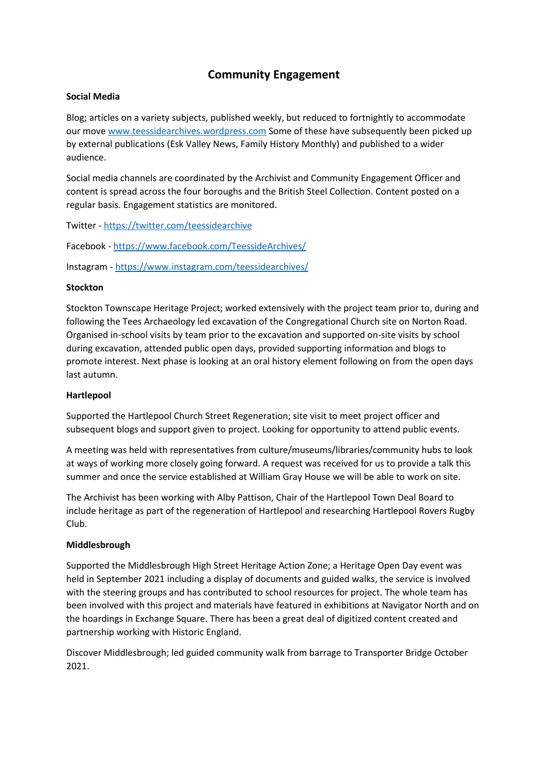# **Community Engagement**

## **Social Media**

Blog; articles on a variety subjects, published weekly, but reduced to fortnightly to accommodate our mov[e www.teessidearchives.wordpress.com](http://www.teessidearchives.wordpress.com/) Some of these have subsequently been picked up by external publications (Esk Valley News, Family History Monthly) and published to a wider audience.

Social media channels are coordinated by the Archivist and Community Engagement Officer and content is spread across the four boroughs and the British Steel Collection. Content posted on a regular basis. Engagement statistics are monitored.

Twitter - [https://twitter.com/teessidearchive](https://gbr01.safelinks.protection.outlook.com/?url=https%3A%2F%2Ftwitter.com%2Fteessidearchive&data=04%7C01%7CRuth_Hobbins%40middlesbrough.gov.uk%7C815662be9f3f468db6fb08d9e7036b88%7C80e3c22b9f3044afb1981975db77798a%7C0%7C0%7C637794824131707972%7CUnknown%7CTWFpbGZsb3d8eyJWIjoiMC4wLjAwMDAiLCJQIjoiV2luMzIiLCJBTiI6Ik1haWwiLCJXVCI6Mn0%3D%7C3000&sdata=UGGVZSG4d4pfQNqQltk3Q8mVmirooGCrxo%2FTLusp%2BC8%3D&reserved=0)

Facebook - [https://www.facebook.com/TeessideArchives/](https://gbr01.safelinks.protection.outlook.com/?url=https%3A%2F%2Fwww.facebook.com%2FTeessideArchives%2F&data=04%7C01%7CRuth_Hobbins%40middlesbrough.gov.uk%7C815662be9f3f468db6fb08d9e7036b88%7C80e3c22b9f3044afb1981975db77798a%7C0%7C0%7C637794824131707972%7CUnknown%7CTWFpbGZsb3d8eyJWIjoiMC4wLjAwMDAiLCJQIjoiV2luMzIiLCJBTiI6Ik1haWwiLCJXVCI6Mn0%3D%7C3000&sdata=jbloYwL6DrLNVaGAvddsOnEPt578PzMsFb2xuRbcK2o%3D&reserved=0)

Instagram - [https://www.instagram.com/teessidearchives/](https://gbr01.safelinks.protection.outlook.com/?url=https%3A%2F%2Fwww.instagram.com%2Fteessidearchives%2F&data=04%7C01%7CRuth_Hobbins%40middlesbrough.gov.uk%7C815662be9f3f468db6fb08d9e7036b88%7C80e3c22b9f3044afb1981975db77798a%7C0%7C0%7C637794824131707972%7CUnknown%7CTWFpbGZsb3d8eyJWIjoiMC4wLjAwMDAiLCJQIjoiV2luMzIiLCJBTiI6Ik1haWwiLCJXVCI6Mn0%3D%7C3000&sdata=7r2Lo8r19spAaeZiTnEJFkfYaZEl5cogANt30F2sdEg%3D&reserved=0)

## **Stockton**

Stockton Townscape Heritage Project; worked extensively with the project team prior to, during and following the Tees Archaeology led excavation of the Congregational Church site on Norton Road. Organised in-school visits by team prior to the excavation and supported on-site visits by school during excavation, attended public open days, provided supporting information and blogs to promote interest. Next phase is looking at an oral history element following on from the open days last autumn.

#### **Hartlepool**

Supported the Hartlepool Church Street Regeneration; site visit to meet project officer and subsequent blogs and support given to project. Looking for opportunity to attend public events.

A meeting was held with representatives from culture/museums/libraries/community hubs to look at ways of working more closely going forward. A request was received for us to provide a talk this summer and once the service established at William Gray House we will be able to work on site.

The Archivist has been working with Alby Pattison, Chair of the Hartlepool Town Deal Board to include heritage as part of the regeneration of Hartlepool and researching Hartlepool Rovers Rugby Club.

#### **Middlesbrough**

Supported the Middlesbrough High Street Heritage Action Zone; a Heritage Open Day event was held in September 2021 including a display of documents and guided walks, the service is involved with the steering groups and has contributed to school resources for project. The whole team has been involved with this project and materials have featured in exhibitions at Navigator North and on the hoardings in Exchange Square. There has been a great deal of digitized content created and partnership working with Historic England.

Discover Middlesbrough; led guided community walk from barrage to Transporter Bridge October 2021.